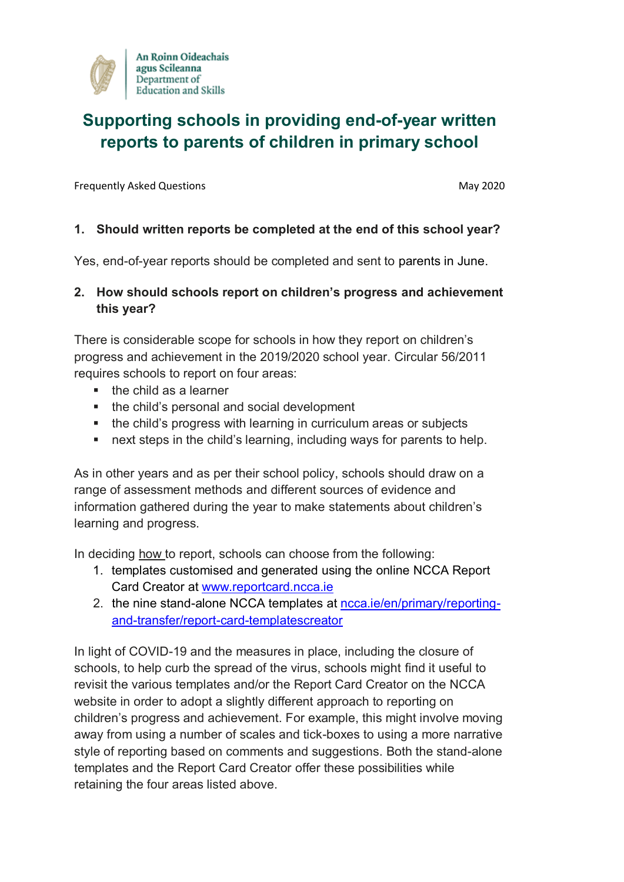

# **Supporting schools in providing end-of-year written reports to parents of children in primary school**

Frequently Asked Questions May 2020

#### **1. Should written reports be completed at the end of this school year?**

Yes, end-of-year reports should be completed and sent to parents in June.

#### **2. How should schools report on children's progress and achievement this year?**

There is considerable scope for schools in how they report on children's progress and achievement in the 2019/2020 school year. Circular 56/2011 requires schools to report on four areas:

- $\blacksquare$  the child as a learner
- the child's personal and social development
- **the child's progress with learning in curriculum areas or subjects**
- **next steps in the child's learning, including ways for parents to help.**

As in other years and as per their school policy, schools should draw on a range of assessment methods and different sources of evidence and information gathered during the year to make statements about children's learning and progress.

In deciding how to report, schools can choose from the following:

- 1. templates customised and generated using the online NCCA Report Card Creator at [www.reportcard.ncca.ie](http://www.reportcard.ncca.ie/)
- 2. the nine stand-alone NCCA templates at [ncca.ie/en/primary/reporting](https://ncca.ie/en/primary/reporting-and-transfer/report-card-templatescreator)[and-transfer/report-card-templatescreator](https://ncca.ie/en/primary/reporting-and-transfer/report-card-templatescreator)

In light of COVID-19 and the measures in place, including the closure of schools, to help curb the spread of the virus, schools might find it useful to revisit the various templates and/or the Report Card Creator on the NCCA website in order to adopt a slightly different approach to reporting on children's progress and achievement. For example, this might involve moving away from using a number of scales and tick-boxes to using a more narrative style of reporting based on comments and suggestions. Both the stand-alone templates and the Report Card Creator offer these possibilities while retaining the four areas listed above.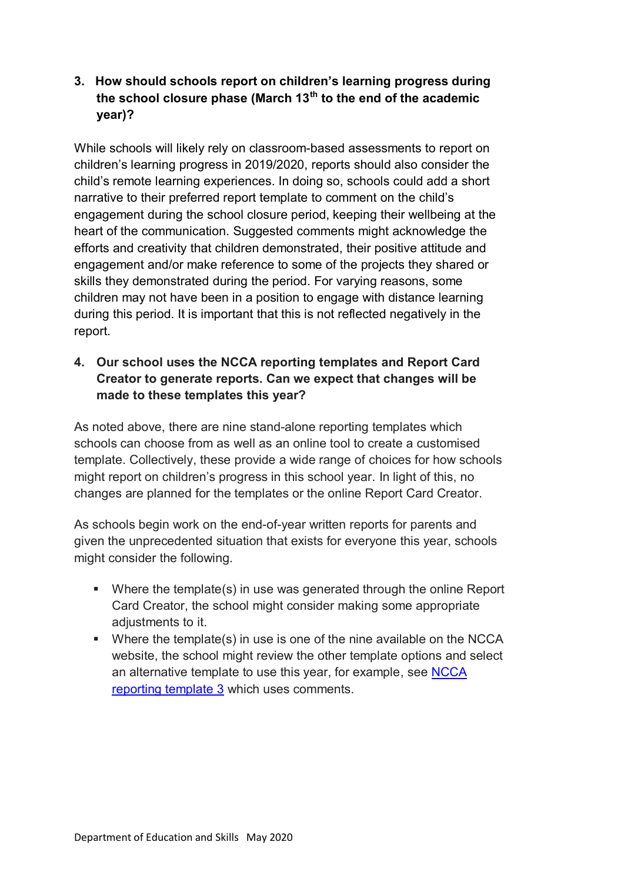### **3. How should schools report on children's learning progress during the school closure phase (March 13th to the end of the academic year)?**

While schools will likely rely on classroom-based assessments to report on children's learning progress in 2019/2020, reports should also consider the child's remote learning experiences. In doing so, schools could add a short narrative to their preferred report template to comment on the child's engagement during the school closure period, keeping their wellbeing at the heart of the communication. Suggested comments might acknowledge the efforts and creativity that children demonstrated, their positive attitude and engagement and/or make reference to some of the projects they shared or skills they demonstrated during the period. For varying reasons, some children may not have been in a position to engage with distance learning during this period. It is important that this is not reflected negatively in the report.

# **4. Our school uses the NCCA reporting templates and Report Card Creator to generate reports. Can we expect that changes will be made to these templates this year?**

As noted above, there are nine stand-alone reporting templates which schools can choose from as well as an online tool to create a customised template. Collectively, these provide a wide range of choices for how schools might report on children's progress in this school year. In light of this, no changes are planned for the templates or the online Report Card Creator.

As schools begin work on the end-of-year written reports for parents and given the unprecedented situation that exists for everyone this year, schools might consider the following.

- Where the template(s) in use was generated through the online Report Card Creator, the school might consider making some appropriate adjustments to it.
- Where the template(s) in use is one of the nine available on the NCCA website, the school might review the other template options and select an alternative template to use this year, for example, see [NCCA](https://ncca.ie/en/resources/reportcardt_3)  [reporting template 3](https://ncca.ie/en/resources/reportcardt_3) which uses comments.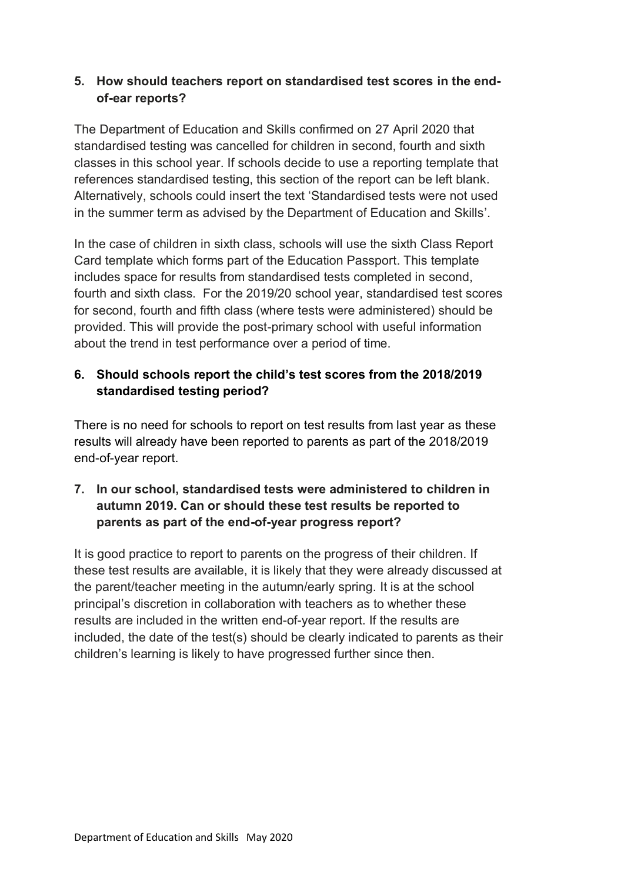#### **5. How should teachers report on standardised test scores in the endof-ear reports?**

The Department of Education and Skills confirmed on 27 April 2020 that standardised testing was cancelled for children in second, fourth and sixth classes in this school year. If schools decide to use a reporting template that references standardised testing, this section of the report can be left blank. Alternatively, schools could insert the text 'Standardised tests were not used in the summer term as advised by the Department of Education and Skills'.

In the case of children in sixth class, schools will use the sixth Class Report Card template which forms part of the Education Passport. This template includes space for results from standardised tests completed in second, fourth and sixth class. For the 2019/20 school year, standardised test scores for second, fourth and fifth class (where tests were administered) should be provided. This will provide the post-primary school with useful information about the trend in test performance over a period of time.

# **6. Should schools report the child's test scores from the 2018/2019 standardised testing period?**

There is no need for schools to report on test results from last year as these results will already have been reported to parents as part of the 2018/2019 end-of-year report.

# **7. In our school, standardised tests were administered to children in autumn 2019. Can or should these test results be reported to parents as part of the end-of-year progress report?**

It is good practice to report to parents on the progress of their children. If these test results are available, it is likely that they were already discussed at the parent/teacher meeting in the autumn/early spring. It is at the school principal's discretion in collaboration with teachers as to whether these results are included in the written end-of-year report. If the results are included, the date of the test(s) should be clearly indicated to parents as their children's learning is likely to have progressed further since then.